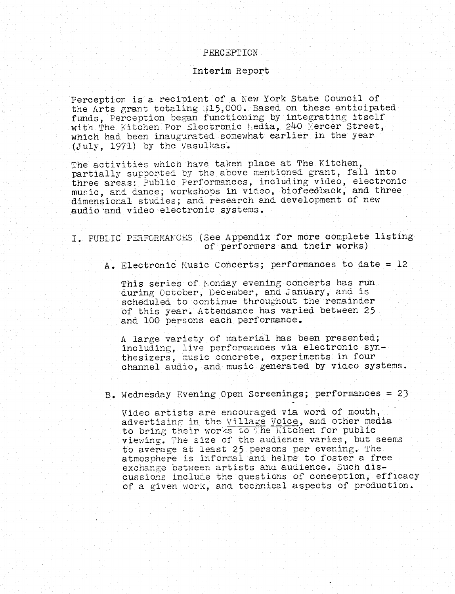### PERCEPTION

#### Interim Report

Perception is a recipient of a Kew York State Council of the Arts grant totaling \$15,000. Based on these anticipated funds, perception began functioning by integrating itself with The Kitchen For Electronic Kedia, 240 mercer Street, which had been inaugurated somewhat earlier in the year (July, 1971) by the Vasulkas .

The activities which have taken place at The Kitchen, partially supported by the above mentioned grant, fall into three areas : Public Performances, including video, electronic music, and dance ; workshops in video, biofeedback, and three dimensional studies; and research and development of new audio and video electronic systems .

<sup>I</sup> . PUBLIC PERFORMANCES (See Appendix for more complete listing of performers and their works)

A. Electronic Music Concerts; performances to date = 12

This series of Monday evening concerts has run during October, December, and January, and is scheduled to continue throughout the remainder of this year. Attendance has varied between 25 and 100 persons each performance .

A large variety of material has been presented ; including, live performances via electronic synthesizers, music concrete, experiments in four channel audio, and music generated by video systems .

B . Wednesday Evening Open Screenings ; performances = 23

Video artists are encouraged via word of mouth, advertising in the Village Voice, and other media to bring their works to The Kitchen for public viewing. The size of the audience varies, but seems to average at least 25 persons per evening. The atmosphere is informal and helps to foster a free exchange between artists and audience . Such discussions include the questions of conception, efficacy of a given work, and technical aspects of production .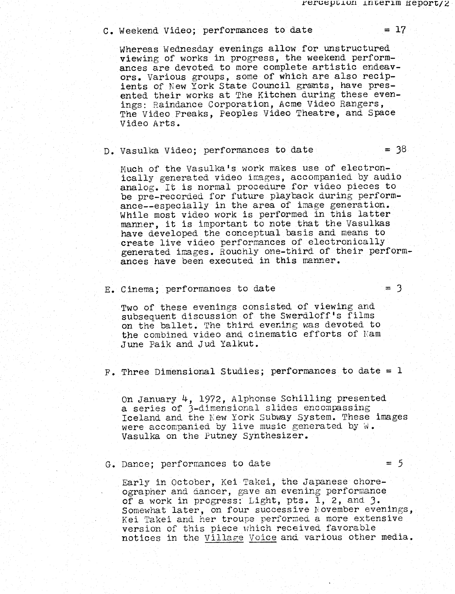# $C.$  Weekend Video; performances to date  $= 17$

Whereas Wednesday evenings allow for unstructured viewing of works in progress, the weekend performances are devoted to more complete artistic endeavors. Various groups, some of which are also recipients of New York State Council grants, have presented their works at The Kitchen during these evenings: Raindance Corporation, Acme Video Rangers. The Video Freaks, Peoples Video Theatre, and Space Video Arts.

# $D. Vasulka Video; performances to date =  $38$$

Much of the Vasulka's work makes use of electronically generated video images, accompanied by audio analog. It is normal procedure for video pieces to be pre-recorded for future playback during performance--especially in the area of image generation. While most video work is performed in this latter manner, it is important to note that the Vasulkas have developed the conceptual basis and means to create live video performances of electronically generated images . Bouchly one-third of their performances have been executed in this manner .

E . Cinema ; performances to date

Two of these evenings consisted of viewing and subsequent discussion of the Swerdloff's films on the ballet. The third evening was devoted to the combined. video and cinematic efforts of Nam June Paik and Jud Yalkut .

 $F$ . Three Dimensional Studies; performances to date = 1

On January 4, 1972, Alphonse Schilling presented a series of 3-dimensional slides encompassing Iceland and the New York Subway System. These images were accompanied by live music generated by  $\mathbb{W}$ . Vasulka on the Putney Synthesizer.

#### G. Dance; performances to date

Early in October, Kei Takei, the Japanese choreographer and dancer, gave an evening performance of a work in progress: Light, pts. 1, 2, and  $3$ . Somewhat later, on four successive November evenings, Kei Takei and her troupe performed a more extensive version of this piece which received favorable notices in the Village Voice and various other media.

 $=$  3

 $= 5$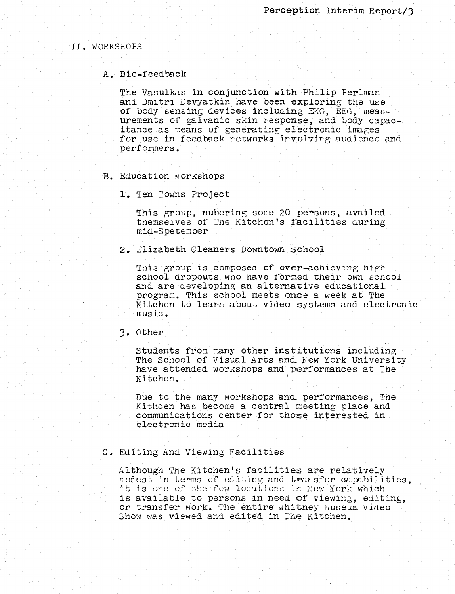### II . WORKSHOPS

### A . Bio-feedback

The Vasulkas in conjunction with Philip Perlman and Dmitri Devyatkin have been exploring the use of body sensing devices including EKG, EEG, measurements of galvanic skin response, and body capacitance as means of generating electronic images for use in feedback networks involving audience and performers :

- B. Education Workshops
	- 1. Ten Towns Project

This group, nubering some 20 persons, availed themselves' of The Kitchen's facilities during mid-Spetember

2 . Elizabeth Cleaners Downtown School

This group is composed of over-achieving high school dropouts who have formed their own school and are developing an alternative educational program. This school meets once a week at The Kitchen to learn about video systems and electronic music .

### <sup>3</sup> . other

Students from many other institutions including The School of Visual Arts and New York University have attended workshops and performances at The Kitchen .

Due to the many workshops and performances, The Kithcen has become a central meeting place and communications center for those interested in electronic media

#### C. Editing And Viewing Facilities

although The Kitchen's facilities are relatively modest in terms of editing and transfer capabilities, it is one of the few locations in New York which is available to persons in'need of viewing, editing, or transfer work. The entire whitney Museum Video Show was viewed and edited in The Kitchen.